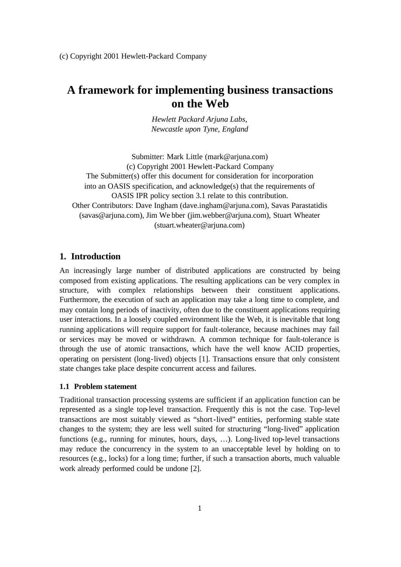# **A framework for implementing business transactions on the Web**

*Hewlett Packard Arjuna Labs, Newcastle upon Tyne, England*

Submitter: Mark Little (mark@arjuna.com) (c) Copyright 2001 Hewlett-Packard Company The Submitter(s) offer this document for consideration for incorporation into an OASIS specification, and acknowledge(s) that the requirements of OASIS IPR policy section 3.1 relate to this contribution. Other Contributors: Dave Ingham (dave.ingham@arjuna.com), Savas Parastatidis (savas@arjuna.com), Jim We bber (jim.webber@arjuna.com), Stuart Wheater (stuart.wheater@arjuna.com)

# **1. Introduction**

An increasingly large number of distributed applications are constructed by being composed from existing applications. The resulting applications can be very complex in structure, with complex relationships between their constituent applications. Furthermore, the execution of such an application may take a long time to complete, and may contain long periods of inactivity, often due to the constituent applications requiring user interactions. In a loosely coupled environment like the Web, it is inevitable that long running applications will require support for fault-tolerance, because machines may fail or services may be moved or withdrawn. A common technique for fault-tolerance is through the use of atomic transactions, which have the well know ACID properties, operating on persistent (long-lived) objects [1]. Transactions ensure that only consistent state changes take place despite concurrent access and failures.

# **1.1 Problem statement**

Traditional transaction processing systems are sufficient if an application function can be represented as a single top-level transaction. Frequently this is not the case. Top-level transactions are most suitably viewed as "short-lived" entities, performing stable state changes to the system; they are less well suited for structuring "long-lived" application functions (e.g., running for minutes, hours, days, …). Long-lived top-level transactions may reduce the concurrency in the system to an unacceptable level by holding on to resources (e.g., locks) for a long time; further, if such a transaction aborts, much valuable work already performed could be undone [2].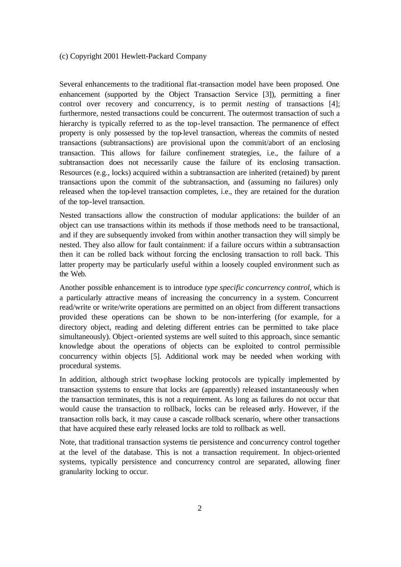Several enhancements to the traditional flat-transaction model have been proposed. One enhancement (supported by the Object Transaction Service [3]), permitting a finer control over recovery and concurrency, is to permit *nesting* of transactions [4]; furthermore, nested transactions could be concurrent. The outermost transaction of such a hierarchy is typically referred to as the top-level transaction. The permanence of effect property is only possessed by the top-level transaction, whereas the commits of nested transactions (subtransactions) are provisional upon the commit/abort of an enclosing transaction. This allows for failure confinement strategies, i.e., the failure of a subtransaction does not necessarily cause the failure of its enclosing transaction. Resources (e.g., locks) acquired within a subtransaction are inherited (retained) by parent transactions upon the commit of the subtransaction, and (assuming no failures) only released when the top-level transaction completes, i.e., they are retained for the duration of the top-level transaction.

Nested transactions allow the construction of modular applications: the builder of an object can use transactions within its methods if those methods need to be transactional, and if they are subsequently invoked from within another transaction they will simply be nested. They also allow for fault containment: if a failure occurs within a subtransaction then it can be rolled back without forcing the enclosing transaction to roll back. This latter property may be particularly useful within a loosely coupled environment such as the Web.

Another possible enhancement is to introduce *type specific concurrency control*, which is a particularly attractive means of increasing the concurrency in a system. Concurrent read/write or write/write operations are permitted on an object from different transactions provided these operations can be shown to be non-interfering (for example, for a directory object, reading and deleting different entries can be permitted to take place simultaneously). Object-oriented systems are well suited to this approach, since semantic knowledge about the operations of objects can be exploited to control permissible concurrency within objects [5]. Additional work may be needed when working with procedural systems.

In addition, although strict two-phase locking protocols are typically implemented by transaction systems to ensure that locks are (apparently) released instantaneously when the transaction terminates, this is not a requirement. As long as failures do not occur that would cause the transaction to rollback, locks can be released early. However, if the transaction rolls back, it may cause a cascade rollback scenario, where other transactions that have acquired these early released locks are told to rollback as well.

Note, that traditional transaction systems tie persistence and concurrency control together at the level of the database. This is not a transaction requirement. In object-oriented systems, typically persistence and concurrency control are separated, allowing finer granularity locking to occur.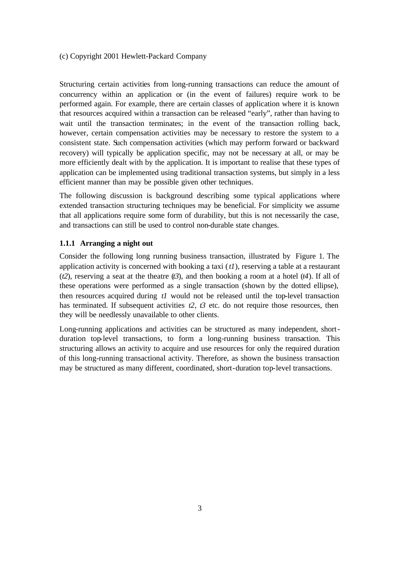Structuring certain activities from long-running transactions can reduce the amount of concurrency within an application or (in the event of failures) require work to be performed again. For example, there are certain classes of application where it is known that resources acquired within a transaction can be released "early", rather than having to wait until the transaction terminates; in the event of the transaction rolling back, however, certain compensation activities may be necessary to restore the system to a consistent state. Such compensation activities (which may perform forward or backward recovery) will typically be application specific, may not be necessary at all, or may be more efficiently dealt with by the application. It is important to realise that these types of application can be implemented using traditional transaction systems, but simply in a less efficient manner than may be possible given other techniques.

The following discussion is background describing some typical applications where extended transaction structuring techniques may be beneficial. For simplicity we assume that all applications require some form of durability, but this is not necessarily the case, and transactions can still be used to control non-durable state changes.

#### **1.1.1 Arranging a night out**

Consider the following long running business transaction, illustrated by Figure 1. The application activity is concerned with booking a taxi (*t1*), reserving a table at a restaurant (*t2*), reserving a seat at the theatre (*t3*), and then booking a room at a hotel (*t4*). If all of these operations were performed as a single transaction (shown by the dotted ellipse), then resources acquired during *t1* would not be released until the top-level transaction has terminated. If subsequent activities  $t2$ ,  $t3$  etc. do not require those resources, then they will be needlessly unavailable to other clients.

Long-running applications and activities can be structured as many independent, shortduration top-level transactions, to form a long-running business transaction. This structuring allows an activity to acquire and use resources for only the required duration of this long-running transactional activity. Therefore, as shown the business transaction may be structured as many different, coordinated, short-duration top-level transactions.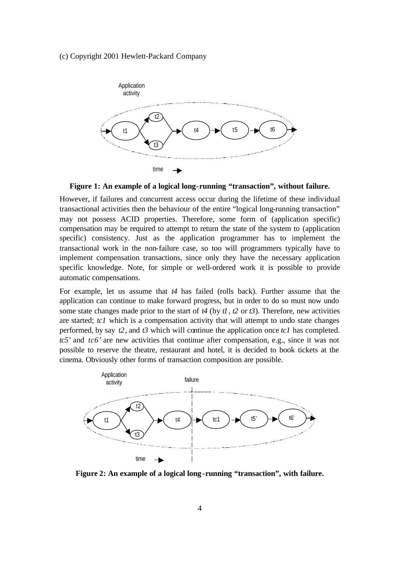

**Figure 1: An example of a logical long-running "transaction", without failure.**

However, if failures and concurrent access occur during the lifetime of these individual transactional activities then the behaviour of the entire "logical long-running transaction" may not possess ACID properties. Therefore, some form of (application specific) compensation may be required to attempt to return the state of the system to (application specific) consistency. Just as the application programmer has to implement the transactional work in the non-failure case, so too will programmers typically have to implement compensation transactions, since only they have the necessary application specific knowledge. Note, for simple or well-ordered work it is possible to provide automatic compensations.

For example, let us assume that *t4* has failed (rolls back). Further assume that the application can continue to make forward progress, but in order to do so must now undo some state changes made prior to the start of  $t4$  (by  $t1$ ,  $t2$  or  $t3$ ). Therefore, new activities are started; *tc1* which is a compensation activity that will attempt to undo state changes performed, by say *t2*, and *t3* which will continue the application once *tc1* has completed. *tc5'* and *tc6'* are new activities that continue after compensation, e.g., since it was not possible to reserve the theatre, restaurant and hotel, it is decided to book tickets at the cinema. Obviously other forms of transaction composition are possible.



**Figure 2: An example of a logical long-running "transaction", with failure.**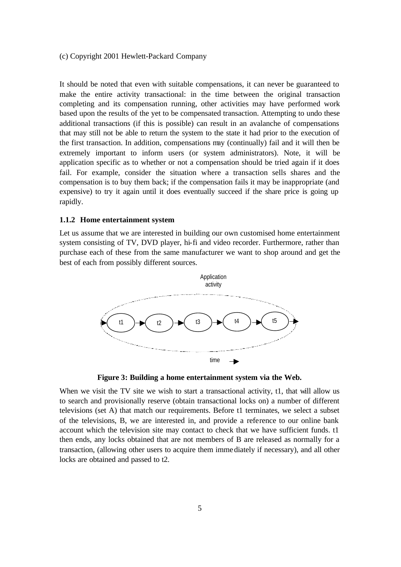It should be noted that even with suitable compensations, it can never be guaranteed to make the entire activity transactional: in the time between the original transaction completing and its compensation running, other activities may have performed work based upon the results of the yet to be compensated transaction. Attempting to undo these additional transactions (if this is possible) can result in an avalanche of compensations that may still not be able to return the system to the state it had prior to the execution of the first transaction. In addition, compensations may (continually) fail and it will then be extremely important to inform users (or system administrators). Note, it will be application specific as to whether or not a compensation should be tried again if it does fail. For example, consider the situation where a transaction sells shares and the compensation is to buy them back; if the compensation fails it may be inappropriate (and expensive) to try it again until it does eventually succeed if the share price is going up rapidly.

### **1.1.2 Home entertainment system**

Let us assume that we are interested in building our own customised home entertainment system consisting of TV, DVD player, hi-fi and video recorder. Furthermore, rather than purchase each of these from the same manufacturer we want to shop around and get the best of each from possibly different sources.



**Figure 3: Building a home entertainment system via the Web.**

When we visit the TV site we wish to start a transactional activity, t1, that will allow us to search and provisionally reserve (obtain transactional locks on) a number of different televisions (set A) that match our requirements. Before t1 terminates, we select a subset of the televisions, B, we are interested in, and provide a reference to our online bank account which the television site may contact to check that we have sufficient funds. t1 then ends, any locks obtained that are not members of B are released as normally for a transaction, (allowing other users to acquire them immediately if necessary), and all other locks are obtained and passed to t2.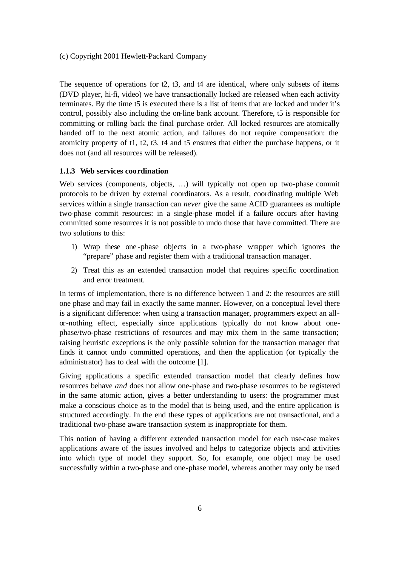The sequence of operations for t2, t3, and t4 are identical, where only subsets of items (DVD player, hi-fi, video) we have transactionally locked are released when each activity terminates. By the time t5 is executed there is a list of items that are locked and under it's control, possibly also including the on-line bank account. Therefore, t5 is responsible for committing or rolling back the final purchase order. All locked resources are atomically handed off to the next atomic action, and failures do not require compensation: the atomicity property of t1, t2, t3, t4 and t5 ensures that either the purchase happens, or it does not (and all resources will be released).

#### **1.1.3 Web services coordination**

Web services (components, objects, ...) will typically not open up two-phase commit protocols to be driven by external coordinators. As a result, coordinating multiple Web services within a single transaction can *never* give the same ACID guarantees as multiple two-phase commit resources: in a single-phase model if a failure occurs after having committed some resources it is not possible to undo those that have committed. There are two solutions to this:

- 1) Wrap these one -phase objects in a two-phase wrapper which ignores the "prepare" phase and register them with a traditional transaction manager.
- 2) Treat this as an extended transaction model that requires specific coordination and error treatment.

In terms of implementation, there is no difference between 1 and 2: the resources are still one phase and may fail in exactly the same manner. However, on a conceptual level there is a significant difference: when using a transaction manager, programmers expect an allor-nothing effect, especially since applications typically do not know about onephase/two-phase restrictions of resources and may mix them in the same transaction; raising heuristic exceptions is the only possible solution for the transaction manager that finds it cannot undo committed operations, and then the application (or typically the administrator) has to deal with the outcome [1].

Giving applications a specific extended transaction model that clearly defines how resources behave *and* does not allow one-phase and two-phase resources to be registered in the same atomic action, gives a better understanding to users: the programmer must make a conscious choice as to the model that is being used, and the entire application is structured accordingly. In the end these types of applications are not transactional, and a traditional two-phase aware transaction system is inappropriate for them.

This notion of having a different extended transaction model for each use-case makes applications aware of the issues involved and helps to categorize objects and activities into which type of model they support. So, for example, one object may be used successfully within a two-phase and one-phase model, whereas another may only be used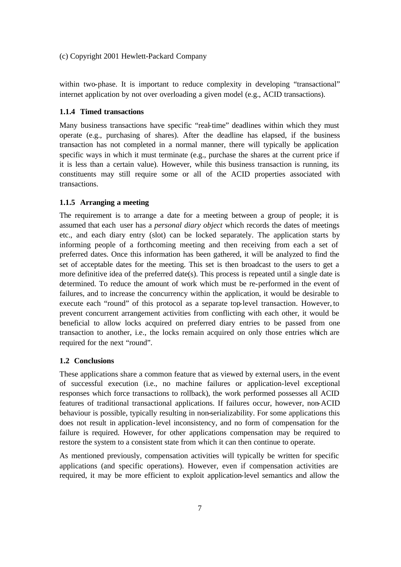within two-phase. It is important to reduce complexity in developing "transactional" internet application by not over overloading a given model (e.g., ACID transactions).

### **1.1.4 Timed transactions**

Many business transactions have specific "real-time" deadlines within which they must operate (e.g., purchasing of shares). After the deadline has elapsed, if the business transaction has not completed in a normal manner, there will typically be application specific ways in which it must terminate (e.g., purchase the shares at the current price if it is less than a certain value). However, while this business transaction is running, its constituents may still require some or all of the ACID properties associated with transactions.

### **1.1.5 Arranging a meeting**

The requirement is to arrange a date for a meeting between a group of people; it is assumed that each user has a *personal diary object* which records the dates of meetings etc., and each diary entry (slot) can be locked separately. The application starts by informing people of a forthcoming meeting and then receiving from each a set of preferred dates. Once this information has been gathered, it will be analyzed to find the set of acceptable dates for the meeting. This set is then broadcast to the users to get a more definitive idea of the preferred date(s). This process is repeated until a single date is determined. To reduce the amount of work which must be re-performed in the event of failures, and to increase the concurrency within the application, it would be desirable to execute each "round" of this protocol as a separate top-level transaction. However, to prevent concurrent arrangement activities from conflicting with each other, it would be beneficial to allow locks acquired on preferred diary entries to be passed from one transaction to another, i.e., the locks remain acquired on only those entries which are required for the next "round".

# **1.2 Conclusions**

These applications share a common feature that as viewed by external users, in the event of successful execution (i.e., no machine failures or application-level exceptional responses which force transactions to rollback), the work performed possesses all ACID features of traditional transactional applications. If failures occur, however, non-ACID behaviour is possible, typically resulting in non-serializability. For some applications this does not result in application-level inconsistency, and no form of compensation for the failure is required. However, for other applications compensation may be required to restore the system to a consistent state from which it can then continue to operate.

As mentioned previously, compensation activities will typically be written for specific applications (and specific operations). However, even if compensation activities are required, it may be more efficient to exploit application-level semantics and allow the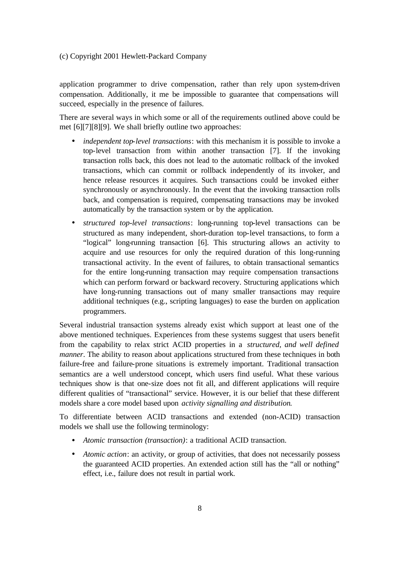application programmer to drive compensation, rather than rely upon system-driven compensation. Additionally, it me be impossible to guarantee that compensations will succeed, especially in the presence of failures.

There are several ways in which some or all of the requirements outlined above could be met [6][7][8][9]. We shall briefly outline two approaches:

- *independent top-level transactions*: with this mechanism it is possible to invoke a top-level transaction from within another transaction [7]. If the invoking transaction rolls back, this does not lead to the automatic rollback of the invoked transactions, which can commit or rollback independently of its invoker, and hence release resources it acquires. Such transactions could be invoked either synchronously or asynchronously. In the event that the invoking transaction rolls back, and compensation is required, compensating transactions may be invoked automatically by the transaction system or by the application.
- *structured top-level transactions*: long-running top-level transactions can be structured as many independent, short-duration top-level transactions, to form a "logical" long-running transaction [6]. This structuring allows an activity to acquire and use resources for only the required duration of this long-running transactional activity. In the event of failures, to obtain transactional semantics for the entire long-running transaction may require compensation transactions which can perform forward or backward recovery. Structuring applications which have long-running transactions out of many smaller transactions may require additional techniques (e.g., scripting languages) to ease the burden on application programmers.

Several industrial transaction systems already exist which support at least one of the above mentioned techniques. Experiences from these systems suggest that users benefit from the capability to relax strict ACID properties in a *structured, and well defined manner*. The ability to reason about applications structured from these techniques in both failure-free and failure-prone situations is extremely important. Traditional transaction semantics are a well understood concept, which users find useful. What these various techniques show is that one-size does not fit all, and different applications will require different qualities of "transactional" service. However, it is our belief that these different models share a core model based upon *activity signalling and distribution*.

To differentiate between ACID transactions and extended (non-ACID) transaction models we shall use the following terminology:

- *Atomic transaction (transaction)*: a traditional ACID transaction.
- *Atomic action*: an activity, or group of activities, that does not necessarily possess the guaranteed ACID properties. An extended action still has the "all or nothing" effect, i.e., failure does not result in partial work.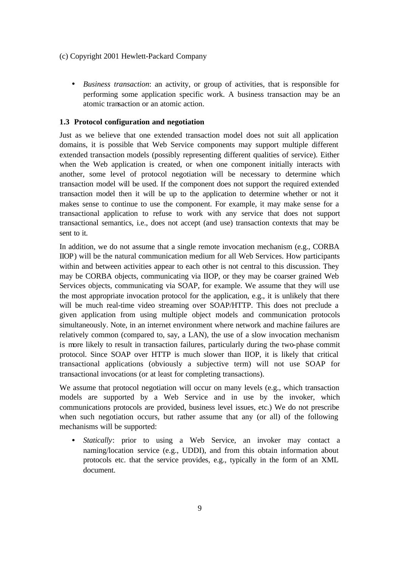• *Business transaction*: an activity, or group of activities, that is responsible for performing some application specific work. A business transaction may be an atomic transaction or an atomic action.

# **1.3 Protocol configuration and negotiation**

Just as we believe that one extended transaction model does not suit all application domains, it is possible that Web Service components may support multiple different extended transaction models (possibly representing different qualities of service). Either when the Web application is created, or when one component initially interacts with another, some level of protocol negotiation will be necessary to determine which transaction model will be used. If the component does not support the required extended transaction model then it will be up to the application to determine whether or not it makes sense to continue to use the component. For example, it may make sense for a transactional application to refuse to work with any service that does not support transactional semantics, i.e., does not accept (and use) transaction contexts that may be sent to it.

In addition, we do not assume that a single remote invocation mechanism (e.g., CORBA IIOP) will be the natural communication medium for all Web Services. How participants within and between activities appear to each other is not central to this discussion. They may be CORBA objects, communicating via IIOP, or they may be coarser grained Web Services objects, communicating via SOAP, for example. We assume that they will use the most appropriate invocation protocol for the application, e.g., it is unlikely that there will be much real-time video streaming over SOAP/HTTP. This does not preclude a given application from using multiple object models and communication protocols simultaneously. Note, in an internet environment where network and machine failures are relatively common (compared to, say, a LAN), the use of a slow invocation mechanism is more likely to result in transaction failures, particularly during the two-phase commit protocol. Since SOAP over HTTP is much slower than IIOP, it is likely that critical transactional applications (obviously a subjective term) will not use SOAP for transactional invocations (or at least for completing transactions).

We assume that protocol negotiation will occur on many levels (e.g., which transaction models are supported by a Web Service and in use by the invoker, which communications protocols are provided, business level issues, etc.) We do not prescribe when such negotiation occurs, but rather assume that any (or all) of the following mechanisms will be supported:

• *Statically*: prior to using a Web Service, an invoker may contact a naming/location service (e.g., UDDI), and from this obtain information about protocols etc. that the service provides, e.g., typically in the form of an XML document.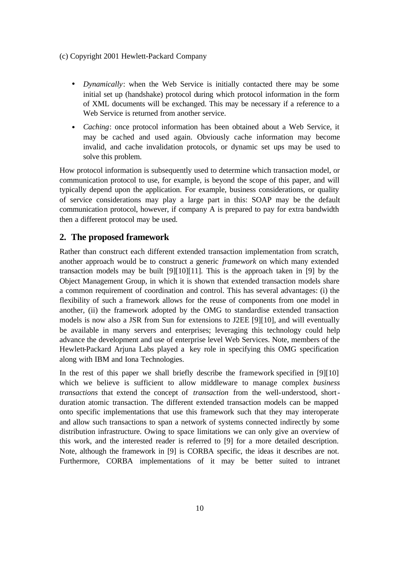- *Dynamically*: when the Web Service is initially contacted there may be some initial set up (handshake) protocol during which protocol information in the form of XML documents will be exchanged. This may be necessary if a reference to a Web Service is returned from another service.
- *Caching*: once protocol information has been obtained about a Web Service, it may be cached and used again. Obviously cache information may become invalid, and cache invalidation protocols, or dynamic set ups may be used to solve this problem.

How protocol information is subsequently used to determine which transaction model, or communication protocol to use, for example, is beyond the scope of this paper, and will typically depend upon the application. For example, business considerations, or quality of service considerations may play a large part in this: SOAP may be the default communication protocol, however, if company A is prepared to pay for extra bandwidth then a different protocol may be used.

# **2. The proposed framework**

Rather than construct each different extended transaction implementation from scratch, another approach would be to construct a generic *framework* on which many extended transaction models may be built [9][10][11]. This is the approach taken in [9] by the Object Management Group, in which it is shown that extended transaction models share a common requirement of coordination and control. This has several advantages: (i) the flexibility of such a framework allows for the reuse of components from one model in another, (ii) the framework adopted by the OMG to standardise extended transaction models is now also a JSR from Sun for extensions to J2EE [9][10], and will eventually be available in many servers and enterprises; leveraging this technology could help advance the development and use of enterprise level Web Services. Note, members of the Hewlett-Packard Arjuna Labs played a key role in specifying this OMG specification along with IBM and Iona Technologies.

In the rest of this paper we shall briefly describe the framework specified in [9][10] which we believe is sufficient to allow middleware to manage complex *business transactions* that extend the concept of *transaction* from the well-understood, shortduration atomic transaction. The different extended transaction models can be mapped onto specific implementations that use this framework such that they may interoperate and allow such transactions to span a network of systems connected indirectly by some distribution infrastructure. Owing to space limitations we can only give an overview of this work, and the interested reader is referred to [9] for a more detailed description. Note, although the framework in [9] is CORBA specific, the ideas it describes are not. Furthermore, CORBA implementations of it may be better suited to intranet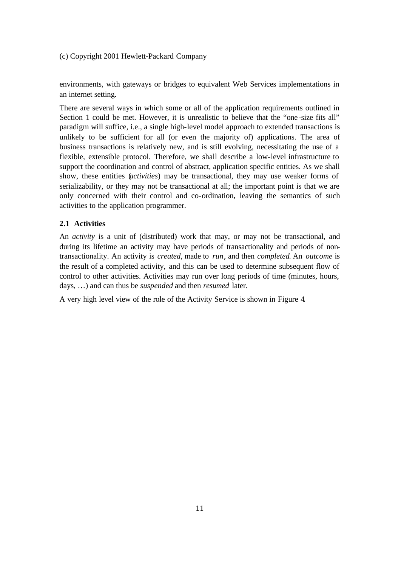environments, with gateways or bridges to equivalent Web Services implementations in an internet setting.

There are several ways in which some or all of the application requirements outlined in Section 1 could be met. However, it is unrealistic to believe that the "one -size fits all" paradigm will suffice, i.e., a single high-level model approach to extended transactions is unlikely to be sufficient for all (or even the majority of) applications. The area of business transactions is relatively new, and is still evolving, necessitating the use of a flexible, extensible protocol. Therefore, we shall describe a low-level infrastructure to support the coordination and control of abstract, application specific entities. As we shall show, these entities (*activities*) may be transactional, they may use weaker forms of serializability, or they may not be transactional at all; the important point is that we are only concerned with their control and co-ordination, leaving the semantics of such activities to the application programmer.

# **2.1 Activities**

An *activity* is a unit of (distributed) work that may, or may not be transactional, and during its lifetime an activity may have periods of transactionality and periods of nontransactionality. An activity is *created*, made to *run*, and then *completed*. An *outcome* is the result of a completed activity, and this can be used to determine subsequent flow of control to other activities. Activities may run over long periods of time (minutes, hours, days, …) and can thus be *suspended* and then *resumed* later.

A very high level view of the role of the Activity Service is shown in Figure 4.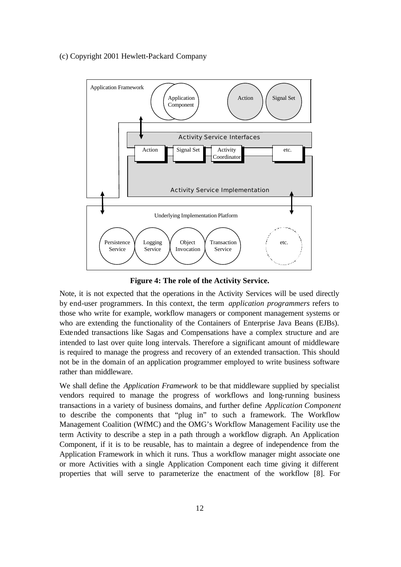

**Figure 4: The role of the Activity Service.**

Note, it is not expected that the operations in the Activity Services will be used directly by end-user programmers. In this context, the term *application programmers* refers to those who write for example, workflow managers or component management systems or who are extending the functionality of the Containers of Enterprise Java Beans (EJBs). Extended transactions like Sagas and Compensations have a complex structure and are intended to last over quite long intervals. Therefore a significant amount of middleware is required to manage the progress and recovery of an extended transaction. This should not be in the domain of an application programmer employed to write business software rather than middleware.

We shall define the *Application Framework* to be that middleware supplied by specialist vendors required to manage the progress of workflows and long-running business transactions in a variety of business domains, and further define *Application Component* to describe the components that "plug in" to such a framework. The Workflow Management Coalition (WfMC) and the OMG's Workflow Management Facility use the term Activity to describe a step in a path through a workflow digraph. An Application Component, if it is to be reusable, has to maintain a degree of independence from the Application Framework in which it runs. Thus a workflow manager might associate one or more Activities with a single Application Component each time giving it different properties that will serve to parameterize the enactment of the workflow [8]. For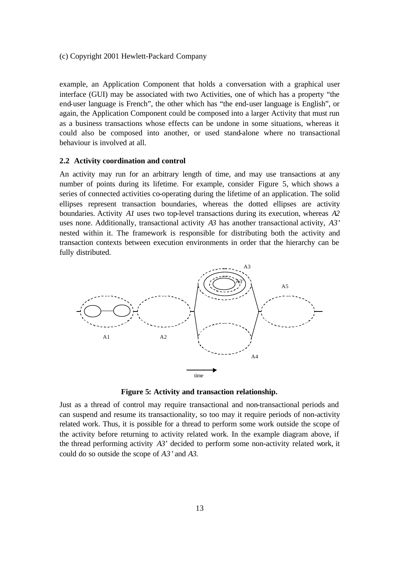example, an Application Component that holds a conversation with a graphical user interface (GUI) may be associated with two Activities, one of which has a property "the end-user language is French", the other which has "the end-user language is English", or again, the Application Component could be composed into a larger Activity that must run as a business transactions whose effects can be undone in some situations, whereas it could also be composed into another, or used stand-alone where no transactional behaviour is involved at all.

#### **2.2 Activity coordination and control**

An activity may run for an arbitrary length of time, and may use transactions at any number of points during its lifetime. For example, consider Figure 5, which shows a series of connected activities co-operating during the lifetime of an application. The solid ellipses represent transaction boundaries, whereas the dotted ellipses are activity boundaries. Activity *A1* uses two top-level transactions during its execution, whereas *A2* uses none. Additionally, transactional activity *A3* has another transactional activity, *A3'* nested within it. The framework is responsible for distributing both the activity and transaction contexts between execution environments in order that the hierarchy can be fully distributed.



**Figure 5: Activity and transaction relationship.**

Just as a thread of control may require transactional and non-transactional periods and can suspend and resume its transactionality, so too may it require periods of non-activity related work. Thus, it is possible for a thread to perform some work outside the scope of the activity before returning to activity related work. In the example diagram above, if the thread performing activity  $A3'$  decided to perform some non-activity related work, it could do so outside the scope of *A3'* and *A3*.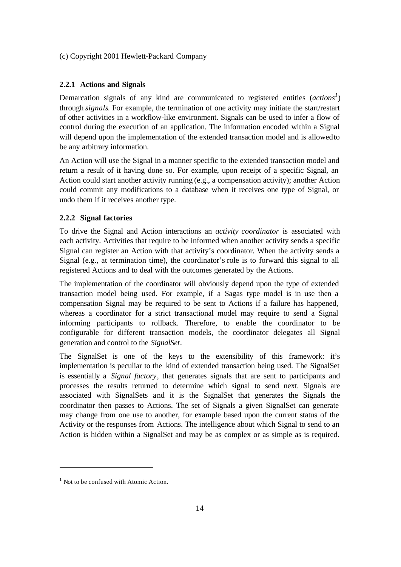### **2.2.1 Actions and Signals**

Demarcation signals of any kind are communicated to registered entities (*actions<sup>1</sup>* ) through *signals*. For example, the termination of one activity may initiate the start/restart of other activities in a workflow-like environment. Signals can be used to infer a flow of control during the execution of an application. The information encoded within a Signal will depend upon the implementation of the extended transaction model and is allowed to be any arbitrary information.

An Action will use the Signal in a manner specific to the extended transaction model and return a result of it having done so. For example, upon receipt of a specific Signal, an Action could start another activity running (e.g., a compensation activity); another Action could commit any modifications to a database when it receives one type of Signal, or undo them if it receives another type.

# **2.2.2 Signal factories**

To drive the Signal and Action interactions an *activity coordinator* is associated with each activity. Activities that require to be informed when another activity sends a specific Signal can register an Action with that activity's coordinator. When the activity sends a Signal (e.g., at termination time), the coordinator's role is to forward this signal to all registered Actions and to deal with the outcomes generated by the Actions.

The implementation of the coordinator will obviously depend upon the type of extended transaction model being used. For example, if a Sagas type model is in use then a compensation Signal may be required to be sent to Actions if a failure has happened, whereas a coordinator for a strict transactional model may require to send a Signal informing participants to rollback. Therefore, to enable the coordinator to be configurable for different transaction models, the coordinator delegates all Signal generation and control to the *SignalSet*.

The SignalSet is one of the keys to the extensibility of this framework: it's implementation is peculiar to the kind of extended transaction being used. The SignalSet is essentially a *Signal factory*, that generates signals that are sent to participants and processes the results returned to determine which signal to send next. Signals are associated with SignalSets and it is the SignalSet that generates the Signals the coordinator then passes to Actions. The set of Signals a given SignalSet can generate may change from one use to another, for example based upon the current status of the Activity or the responses from Actions. The intelligence about which Signal to send to an Action is hidden within a SignalSet and may be as complex or as simple as is required.

 $\overline{a}$ 

<sup>&</sup>lt;sup>1</sup> Not to be confused with Atomic Action.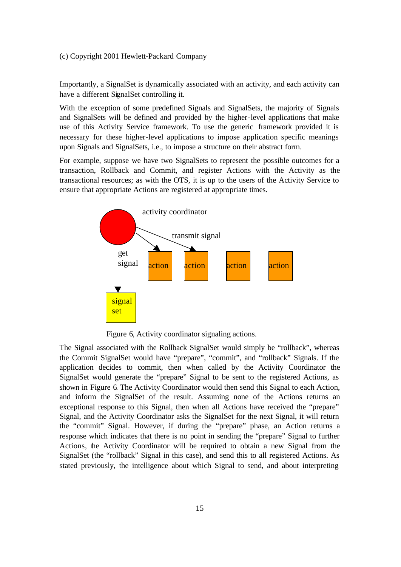Importantly, a SignalSet is dynamically associated with an activity, and each activity can have a different SignalSet controlling it.

With the exception of some predefined Signals and SignalSets, the majority of Signals and SignalSets will be defined and provided by the higher-level applications that make use of this Activity Service framework. To use the generic framework provided it is necessary for these higher-level applications to impose application specific meanings upon Signals and SignalSets, i.e., to impose a structure on their abstract form.

For example, suppose we have two SignalSets to represent the possible outcomes for a transaction, Rollback and Commit, and register Actions with the Activity as the transactional resources; as with the OTS, it is up to the users of the Activity Service to ensure that appropriate Actions are registered at appropriate times.



Figure 6, Activity coordinator signaling actions.

The Signal associated with the Rollback SignalSet would simply be "rollback", whereas the Commit SignalSet would have "prepare", "commit", and "rollback" Signals. If the application decides to commit, then when called by the Activity Coordinator the SignalSet would generate the "prepare" Signal to be sent to the registered Actions, as shown in Figure 6. The Activity Coordinator would then send this Signal to each Action, and inform the SignalSet of the result. Assuming none of the Actions returns an exceptional response to this Signal, then when all Actions have received the "prepare" Signal, and the Activity Coordinator asks the SignalSet for the next Signal, it will return the "commit" Signal. However, if during the "prepare" phase, an Action returns a response which indicates that there is no point in sending the "prepare" Signal to further Actions, the Activity Coordinator will be required to obtain a new Signal from the SignalSet (the "rollback" Signal in this case), and send this to all registered Actions. As stated previously, the intelligence about which Signal to send, and about interpreting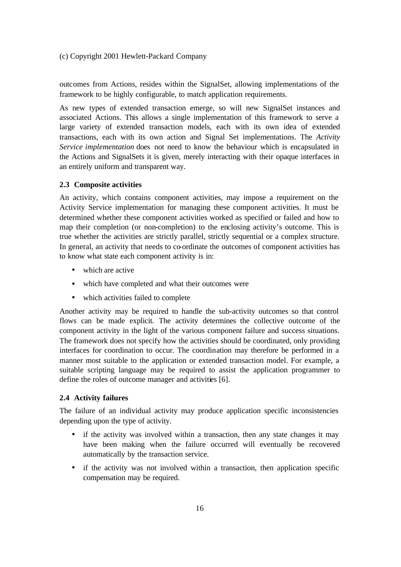outcomes from Actions, resides within the SignalSet, allowing implementations of the framework to be highly configurable, to match application requirements.

As new types of extended transaction emerge, so will new SignalSet instances and associated Actions. This allows a single implementation of this framework to serve a large variety of extended transaction models, each with its own idea of extended transactions, each with its own action and Signal Set implementations. The *Activity Service implementation* does not need to know the behaviour which is encapsulated in the Actions and SignalSets it is given, merely interacting with their opaque interfaces in an entirely uniform and transparent way.

#### **2.3 Composite activities**

An activity, which contains component activities, may impose a requirement on the Activity Service implementation for managing these component activities. It must be determined whether these component activities worked as specified or failed and how to map their completion (or non-completion) to the enclosing activity's outcome. This is true whether the activities are strictly parallel, strictly sequential or a complex structure. In general, an activity that needs to co-ordinate the outcomes of component activities has to know what state each component activity is in:

- which are active
- which have completed and what their outcomes were
- which activities failed to complete

Another activity may be required to handle the sub-activity outcomes so that control flows can be made explicit. The activity determines the collective outcome of the component activity in the light of the various component failure and success situations. The framework does not specify how the activities should be coordinated, only providing interfaces for coordination to occur. The coordination may therefore be performed in a manner most suitable to the application or extended transaction model. For example, a suitable scripting language may be required to assist the application programmer to define the roles of outcome manager and activities [6].

# **2.4 Activity failures**

The failure of an individual activity may produce application specific inconsistencies depending upon the type of activity.

- if the activity was involved within a transaction, then any state changes it may have been making when the failure occurred will eventually be recovered automatically by the transaction service.
- if the activity was not involved within a transaction, then application specific compensation may be required.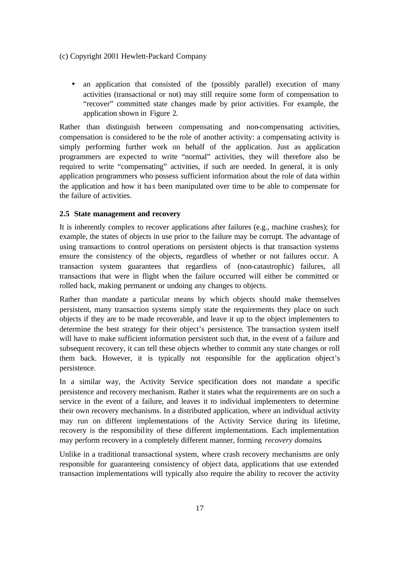• an application that consisted of the (possibly parallel) execution of many activities (transactional or not) may still require some form of compensation to "recover" committed state changes made by prior activities. For example, the application shown in Figure 2.

Rather than distinguish between compensating and non-compensating activities, compensation is considered to be the role of another activity: a compensating activity is simply performing further work on behalf of the application. Just as application programmers are expected to write "normal" activities, they will therefore also be required to write "compensating" activities, if such are needed. In general, it is only application programmers who possess sufficient information about the role of data within the application and how it ha s been manipulated over time to be able to compensate for the failure of activities.

# **2.5 State management and recovery**

It is inherently complex to recover applications after failures (e.g., machine crashes); for example, the states of objects in use prior to the failure may be corrupt. The advantage of using transactions to control operations on persistent objects is that transaction systems ensure the consistency of the objects, regardless of whether or not failures occur. A transaction system guarantees that regardless of (non-catastrophic) failures, all transactions that were in flight when the failure occurred will either be committed or rolled back, making permanent or undoing any changes to objects.

Rather than mandate a particular means by which objects should make themselves persistent, many transaction systems simply state the requirements they place on such objects if they are to be made recoverable, and leave it up to the object implementers to determine the best strategy for their object's persistence. The transaction system itself will have to make sufficient information persistent such that, in the event of a failure and subsequent recovery, it can tell these objects whether to commit any state changes or roll them back. However, it is typically not responsible for the application object's persistence.

In a similar way, the Activity Service specification does not mandate a specific persistence and recovery mechanism. Rather it states what the requirements are on such a service in the event of a failure, and leaves it to individual implementers to determine their own recovery mechanisms. In a distributed application, where an individual activity may run on different implementations of the Activity Service during its lifetime, recovery is the responsibility of these different implementations. Each implementation may perform recovery in a completely different manner, forming *recovery domains*.

Unlike in a traditional transactional system, where crash recovery mechanisms are only responsible for guaranteeing consistency of object data, applications that use extended transaction implementations will typically also require the ability to recover the activity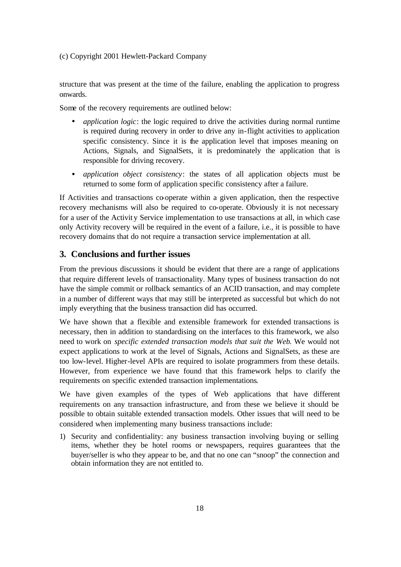structure that was present at the time of the failure, enabling the application to progress onwards.

Some of the recovery requirements are outlined below:

- *application logic*: the logic required to drive the activities during normal runtime is required during recovery in order to drive any in-flight activities to application specific consistency. Since it is the application level that imposes meaning on Actions, Signals, and SignalSets, it is predominately the application that is responsible for driving recovery.
- *application object consistency*: the states of all application objects must be returned to some form of application specific consistency after a failure.

If Activities and transactions co-operate within a given application, then the respective recovery mechanisms will also be required to co-operate. Obviously it is not necessary for a user of the Activity Service implementation to use transactions at all, in which case only Activity recovery will be required in the event of a failure, i.e., it is possible to have recovery domains that do not require a transaction service implementation at all.

# **3. Conclusions and further issues**

From the previous discussions it should be evident that there are a range of applications that require different levels of transactionality. Many types of business transaction do not have the simple commit or rollback semantics of an ACID transaction, and may complete in a number of different ways that may still be interpreted as successful but which do not imply everything that the business transaction did has occurred.

We have shown that a flexible and extensible framework for extended transactions is necessary, then in addition to standardising on the interfaces to this framework, we also need to work on *specific extended transaction models that suit the Web*. We would not expect applications to work at the level of Signals, Actions and SignalSets, as these are too low-level. Higher-level APIs are required to isolate programmers from these details. However, from experience we have found that this framework helps to clarify the requirements on specific extended transaction implementations.

We have given examples of the types of Web applications that have different requirements on any transaction infrastructure, and from these we believe it should be possible to obtain suitable extended transaction models. Other issues that will need to be considered when implementing many business transactions include:

1) Security and confidentiality: any business transaction involving buying or selling items, whether they be hotel rooms or newspapers, requires guarantees that the buyer/seller is who they appear to be, and that no one can "snoop" the connection and obtain information they are not entitled to.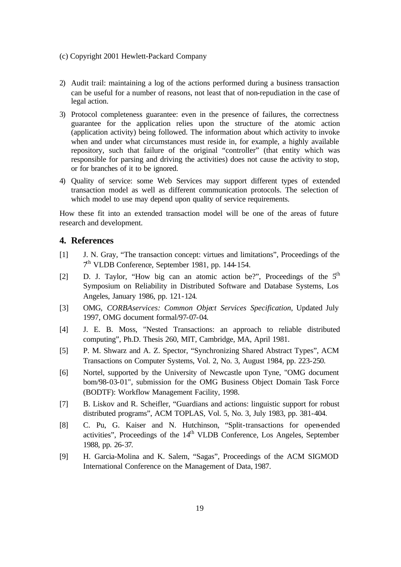- 2) Audit trail: maintaining a log of the actions performed during a business transaction can be useful for a number of reasons, not least that of non-repudiation in the case of legal action.
- 3) Protocol completeness guarantee: even in the presence of failures, the correctness guarantee for the application relies upon the structure of the atomic action (application activity) being followed. The information about which activity to invoke when and under what circumstances must reside in, for example, a highly available repository, such that failure of the original "controller" (that entity which was responsible for parsing and driving the activities) does not cause the activity to stop, or for branches of it to be ignored.
- 4) Quality of service: some Web Services may support different types of extended transaction model as well as different communication protocols. The selection of which model to use may depend upon quality of service requirements.

How these fit into an extended transaction model will be one of the areas of future research and development.

# **4. References**

- [1] J. N. Gray, "The transaction concept: virtues and limitations", Proceedings of the 7 th VLDB Conference, September 1981, pp. 144-154.
- [2] D. J. Taylor, "How big can an atomic action be?", Proceedings of the  $5<sup>th</sup>$ Symposium on Reliability in Distributed Software and Database Systems, Los Angeles, January 1986, pp. 121-124.
- [3] OMG, *CORBAservices: Common Object Services Specification*, Updated July 1997, OMG document formal/97-07-04.
- [4] J. E. B. Moss, "Nested Transactions: an approach to reliable distributed computing", Ph.D. Thesis 260, MIT, Cambridge, MA, April 1981.
- [5] P. M. Shwarz and A. Z. Spector, "Synchronizing Shared Abstract Types", ACM Transactions on Computer Systems, Vol. 2, No. 3, August 1984, pp. 223-250.
- [6] Nortel, supported by the University of Newcastle upon Tyne, "OMG document bom/98-03-01", submission for the OMG Business Object Domain Task Force (BODTF): Workflow Management Facility, 1998.
- [7] B. Liskov and R. Scheifler, "Guardians and actions: linguistic support for robust distributed programs", ACM TOPLAS, Vol. 5, No. 3, July 1983, pp. 381-404.
- [8] C. Pu, G. Kaiser and N. Hutchinson, "Split-transactions for open-ended activities", Proceedings of the  $14<sup>th</sup>$  VLDB Conference, Los Angeles, September 1988, pp. 26-37.
- [9] H. Garcia-Molina and K. Salem, "Sagas", Proceedings of the ACM SIGMOD International Conference on the Management of Data, 1987.